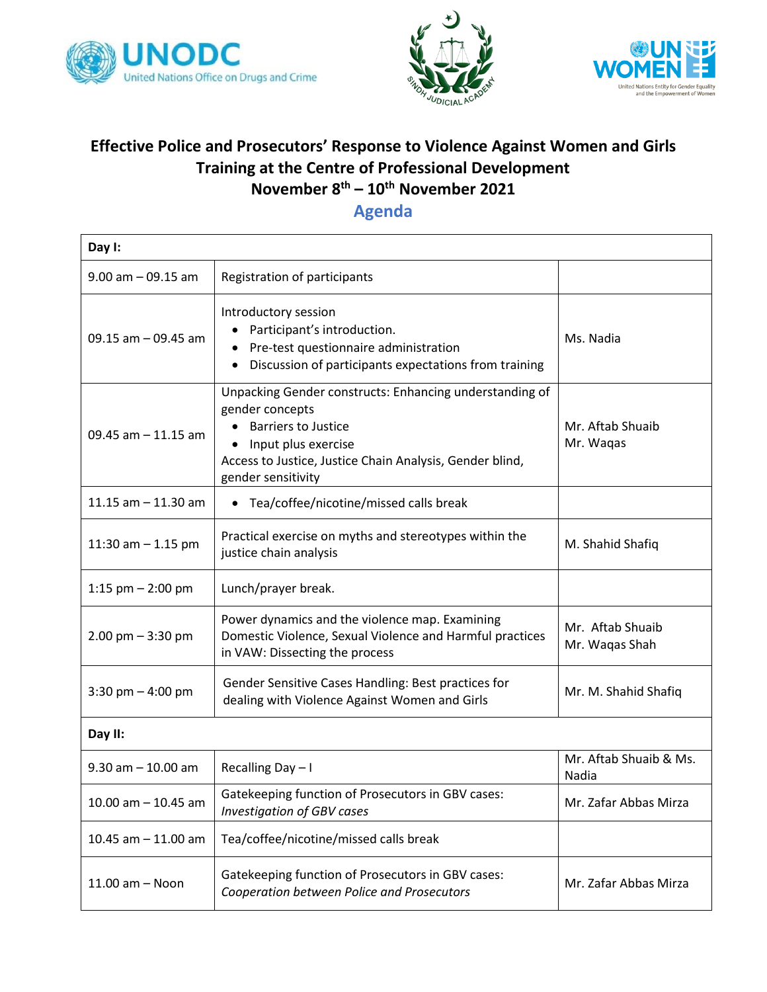





## **Effective Police and Prosecutors' Response to Violence Against Women and Girls Training at the Centre of Professional Development November 8th – 10th November 2021**

**Agenda**

| Day I:                  |                                                                                                                                                                                                                   |                                    |  |
|-------------------------|-------------------------------------------------------------------------------------------------------------------------------------------------------------------------------------------------------------------|------------------------------------|--|
| $9.00$ am $-09.15$ am   | Registration of participants                                                                                                                                                                                      |                                    |  |
| 09.15 $am - 09.45 am$   | Introductory session<br>Participant's introduction.<br>Pre-test questionnaire administration<br>Discussion of participants expectations from training                                                             | Ms. Nadia                          |  |
| 09.45 am $-$ 11.15 am   | Unpacking Gender constructs: Enhancing understanding of<br>gender concepts<br><b>Barriers to Justice</b><br>Input plus exercise<br>Access to Justice, Justice Chain Analysis, Gender blind,<br>gender sensitivity | Mr. Aftab Shuaib<br>Mr. Wagas      |  |
| 11.15 $am - 11.30 am$   | • Tea/coffee/nicotine/missed calls break                                                                                                                                                                          |                                    |  |
| 11:30 am $-$ 1.15 pm    | Practical exercise on myths and stereotypes within the<br>justice chain analysis                                                                                                                                  | M. Shahid Shafiq                   |  |
| 1:15 $pm - 2:00$ pm     | Lunch/prayer break.                                                                                                                                                                                               |                                    |  |
| $2.00$ pm $-3:30$ pm    | Power dynamics and the violence map. Examining<br>Domestic Violence, Sexual Violence and Harmful practices<br>in VAW: Dissecting the process                                                                      | Mr. Aftab Shuaib<br>Mr. Waqas Shah |  |
| 3:30 pm $-$ 4:00 pm     | Gender Sensitive Cases Handling: Best practices for<br>dealing with Violence Against Women and Girls                                                                                                              | Mr. M. Shahid Shafiq               |  |
| Day II:                 |                                                                                                                                                                                                                   |                                    |  |
| $9.30$ am $- 10.00$ am  | Recalling Day - I                                                                                                                                                                                                 | Mr. Aftab Shuaib & Ms.<br>Nadia    |  |
| $10.00$ am $- 10.45$ am | Gatekeeping function of Prosecutors in GBV cases:<br><b>Investigation of GBV cases</b>                                                                                                                            | Mr. Zafar Abbas Mirza              |  |
| $10.45$ am $-11.00$ am  | Tea/coffee/nicotine/missed calls break                                                                                                                                                                            |                                    |  |
| 11.00 am - Noon         | Gatekeeping function of Prosecutors in GBV cases:<br>Cooperation between Police and Prosecutors                                                                                                                   | Mr. Zafar Abbas Mirza              |  |